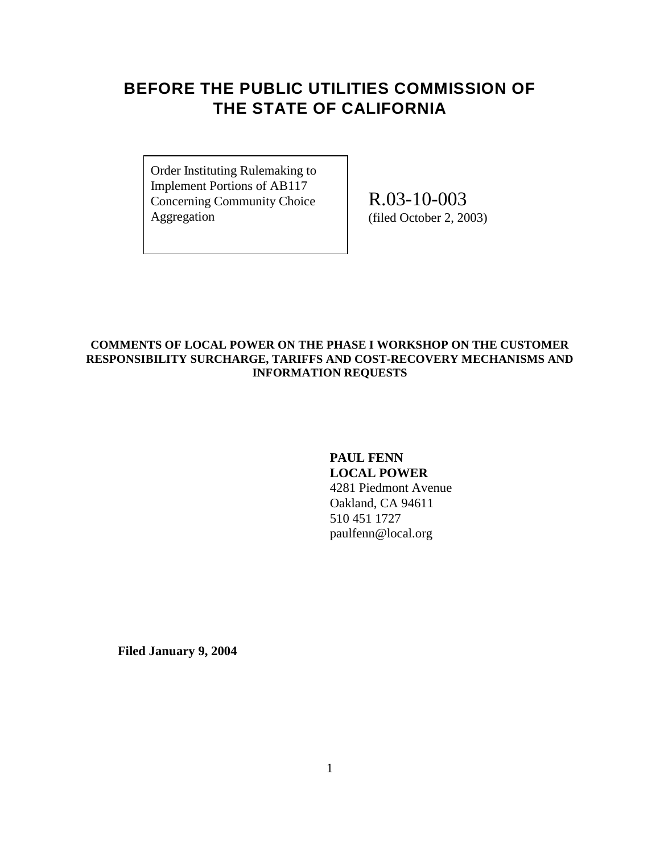# **BEFORE THE PUBLIC UTILITIES COMMISSION OF THE STATE OF CALIFORNIA**

Order Instituting Rulemaking to Implement Portions of AB117 Concerning Community Choice Aggregation

R.03-10-003 (filed October 2, 2003)

### **COMMENTS OF LOCAL POWER ON THE PHASE I WORKSHOP ON THE CUSTOMER RESPONSIBILITY SURCHARGE, TARIFFS AND COST-RECOVERY MECHANISMS AND INFORMATION REQUESTS**

### **PAUL FENN LOCAL POWER**

4281 Piedmont Avenue Oakland, CA 94611 510 451 1727 paulfenn@local.org

**Filed January 9, 2004**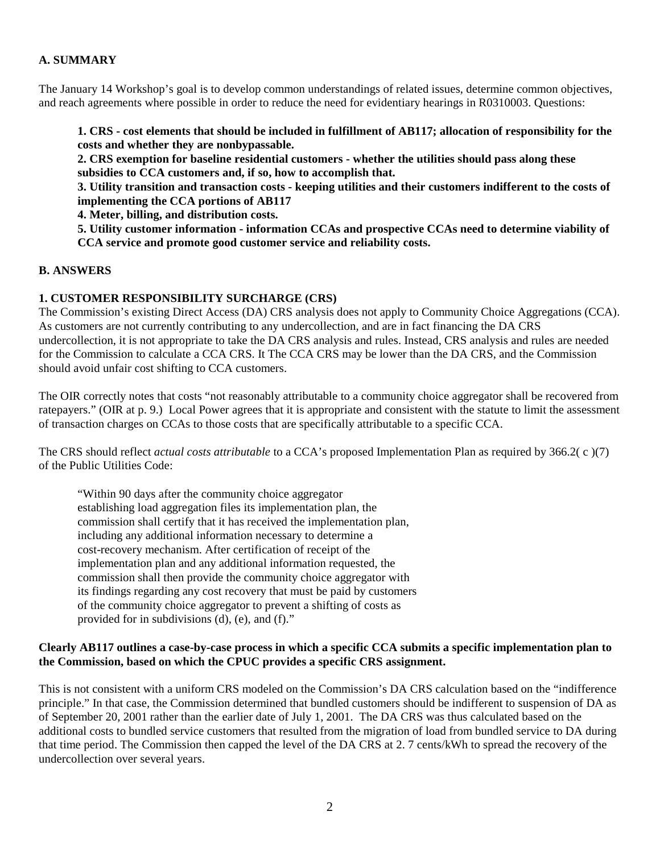### **A. SUMMARY**

The January 14 Workshop's goal is to develop common understandings of related issues, determine common objectives, and reach agreements where possible in order to reduce the need for evidentiary hearings in R0310003. Questions:

**1. CRS - cost elements that should be included in fulfillment of AB117; allocation of responsibility for the costs and whether they are nonbypassable.**

**2. CRS exemption for baseline residential customers - whether the utilities should pass along these subsidies to CCA customers and, if so, how to accomplish that.**

**3. Utility transition and transaction costs - keeping utilities and their customers indifferent to the costs of implementing the CCA portions of AB117**

**4. Meter, billing, and distribution costs.**

**5. Utility customer information - information CCAs and prospective CCAs need to determine viability of CCA service and promote good customer service and reliability costs.**

#### **B. ANSWERS**

#### **1. CUSTOMER RESPONSIBILITY SURCHARGE (CRS)**

The Commission's existing Direct Access (DA) CRS analysis does not apply to Community Choice Aggregations (CCA). As customers are not currently contributing to any undercollection, and are in fact financing the DA CRS undercollection, it is not appropriate to take the DA CRS analysis and rules. Instead, CRS analysis and rules are needed for the Commission to calculate a CCA CRS. It The CCA CRS may be lower than the DA CRS, and the Commission should avoid unfair cost shifting to CCA customers.

The OIR correctly notes that costs "not reasonably attributable to a community choice aggregator shall be recovered from ratepayers." (OIR at p. 9.) Local Power agrees that it is appropriate and consistent with the statute to limit the assessment of transaction charges on CCAs to those costs that are specifically attributable to a specific CCA.

The CRS should reflect *actual costs attributable* to a CCA's proposed Implementation Plan as required by 366.2( c )(7) of the Public Utilities Code:

"Within 90 days after the community choice aggregator establishing load aggregation files its implementation plan, the commission shall certify that it has received the implementation plan, including any additional information necessary to determine a cost-recovery mechanism. After certification of receipt of the implementation plan and any additional information requested, the commission shall then provide the community choice aggregator with its findings regarding any cost recovery that must be paid by customers of the community choice aggregator to prevent a shifting of costs as provided for in subdivisions (d), (e), and (f)."

#### **Clearly AB117 outlines a case-by-case process in which a specific CCA submits a specific implementation plan to the Commission, based on which the CPUC provides a specific CRS assignment.**

This is not consistent with a uniform CRS modeled on the Commission's DA CRS calculation based on the "indifference principle." In that case, the Commission determined that bundled customers should be indifferent to suspension of DA as of September 20, 2001 rather than the earlier date of July 1, 2001. The DA CRS was thus calculated based on the additional costs to bundled service customers that resulted from the migration of load from bundled service to DA during that time period. The Commission then capped the level of the DA CRS at 2. 7 cents/kWh to spread the recovery of the undercollection over several years.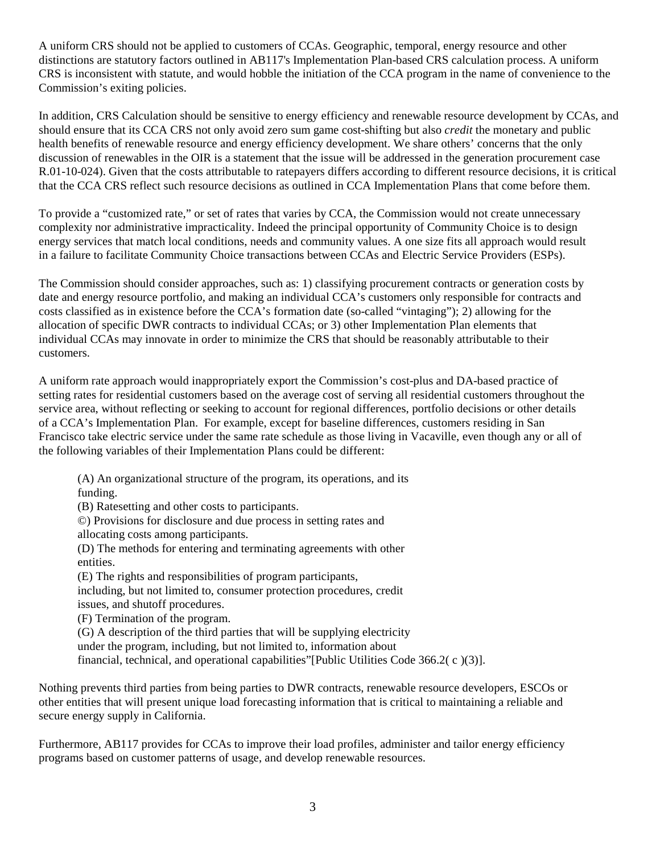A uniform CRS should not be applied to customers of CCAs. Geographic, temporal, energy resource and other distinctions are statutory factors outlined in AB117's Implementation Plan-based CRS calculation process. A uniform CRS is inconsistent with statute, and would hobble the initiation of the CCA program in the name of convenience to the Commission's exiting policies.

In addition, CRS Calculation should be sensitive to energy efficiency and renewable resource development by CCAs, and should ensure that its CCA CRS not only avoid zero sum game cost-shifting but also *credit* the monetary and public health benefits of renewable resource and energy efficiency development. We share others' concerns that the only discussion of renewables in the OIR is a statement that the issue will be addressed in the generation procurement case R.01-10-024). Given that the costs attributable to ratepayers differs according to different resource decisions, it is critical that the CCA CRS reflect such resource decisions as outlined in CCA Implementation Plans that come before them.

To provide a "customized rate," or set of rates that varies by CCA, the Commission would not create unnecessary complexity nor administrative impracticality. Indeed the principal opportunity of Community Choice is to design energy services that match local conditions, needs and community values. A one size fits all approach would result in a failure to facilitate Community Choice transactions between CCAs and Electric Service Providers (ESPs).

The Commission should consider approaches, such as: 1) classifying procurement contracts or generation costs by date and energy resource portfolio, and making an individual CCA's customers only responsible for contracts and costs classified as in existence before the CCA's formation date (so-called "vintaging"); 2) allowing for the allocation of specific DWR contracts to individual CCAs; or 3) other Implementation Plan elements that individual CCAs may innovate in order to minimize the CRS that should be reasonably attributable to their customers.

A uniform rate approach would inappropriately export the Commission's cost-plus and DA-based practice of setting rates for residential customers based on the average cost of serving all residential customers throughout the service area, without reflecting or seeking to account for regional differences, portfolio decisions or other details of a CCA's Implementation Plan. For example, except for baseline differences, customers residing in San Francisco take electric service under the same rate schedule as those living in Vacaville, even though any or all of the following variables of their Implementation Plans could be different:

(A) An organizational structure of the program, its operations, and its funding. (B) Ratesetting and other costs to participants. ©) Provisions for disclosure and due process in setting rates and allocating costs among participants. (D) The methods for entering and terminating agreements with other entities. (E) The rights and responsibilities of program participants, including, but not limited to, consumer protection procedures, credit issues, and shutoff procedures. (F) Termination of the program. (G) A description of the third parties that will be supplying electricity under the program, including, but not limited to, information about financial, technical, and operational capabilities"[Public Utilities Code  $366.2(c)(3)$ ].

Nothing prevents third parties from being parties to DWR contracts, renewable resource developers, ESCOs or other entities that will present unique load forecasting information that is critical to maintaining a reliable and secure energy supply in California.

Furthermore, AB117 provides for CCAs to improve their load profiles, administer and tailor energy efficiency programs based on customer patterns of usage, and develop renewable resources.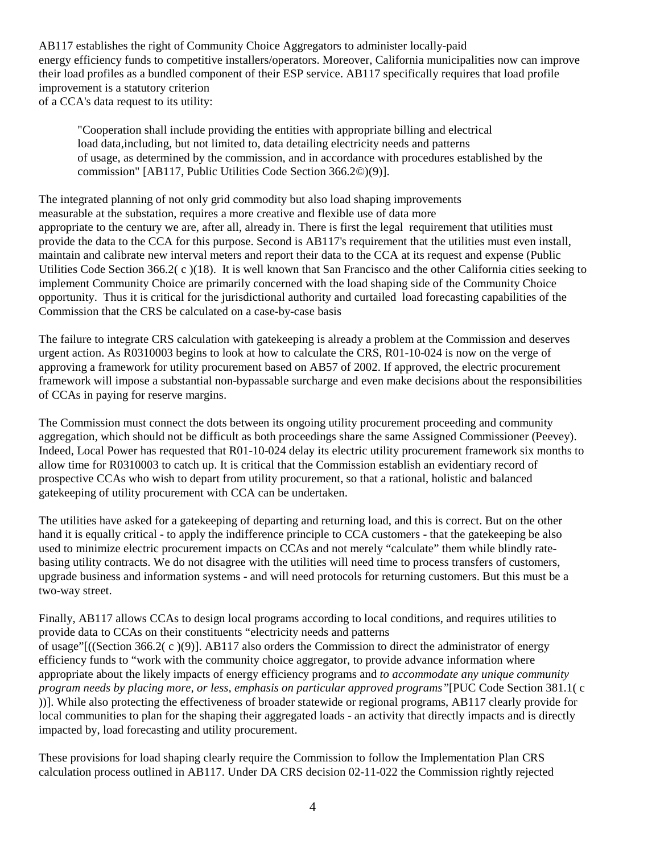AB117 establishes the right of Community Choice Aggregators to administer locally-paid energy efficiency funds to competitive installers/operators. Moreover, California municipalities now can improve their load profiles as a bundled component of their ESP service. AB117 specifically requires that load profile improvement is a statutory criterion of a CCA's data request to its utility:

"Cooperation shall include providing the entities with appropriate billing and electrical load data,including, but not limited to, data detailing electricity needs and patterns of usage, as determined by the commission, and in accordance with procedures established by the commission" [AB117, Public Utilities Code Section 366.2©)(9)].

The integrated planning of not only grid commodity but also load shaping improvements measurable at the substation, requires a more creative and flexible use of data more appropriate to the century we are, after all, already in. There is first the legal requirement that utilities must provide the data to the CCA for this purpose. Second is AB117's requirement that the utilities must even install, maintain and calibrate new interval meters and report their data to the CCA at its request and expense (Public Utilities Code Section 366.2( $c$ )(18). It is well known that San Francisco and the other California cities seeking to implement Community Choice are primarily concerned with the load shaping side of the Community Choice opportunity. Thus it is critical for the jurisdictional authority and curtailed load forecasting capabilities of the Commission that the CRS be calculated on a case-by-case basis

The failure to integrate CRS calculation with gatekeeping is already a problem at the Commission and deserves urgent action. As R0310003 begins to look at how to calculate the CRS, R01-10-024 is now on the verge of approving a framework for utility procurement based on AB57 of 2002. If approved, the electric procurement framework will impose a substantial non-bypassable surcharge and even make decisions about the responsibilities of CCAs in paying for reserve margins.

The Commission must connect the dots between its ongoing utility procurement proceeding and community aggregation, which should not be difficult as both proceedings share the same Assigned Commissioner (Peevey). Indeed, Local Power has requested that R01-10-024 delay its electric utility procurement framework six months to allow time for R0310003 to catch up. It is critical that the Commission establish an evidentiary record of prospective CCAs who wish to depart from utility procurement, so that a rational, holistic and balanced gatekeeping of utility procurement with CCA can be undertaken.

The utilities have asked for a gatekeeping of departing and returning load, and this is correct. But on the other hand it is equally critical - to apply the indifference principle to CCA customers - that the gatekeeping be also used to minimize electric procurement impacts on CCAs and not merely "calculate" them while blindly ratebasing utility contracts. We do not disagree with the utilities will need time to process transfers of customers, upgrade business and information systems - and will need protocols for returning customers. But this must be a two-way street.

Finally, AB117 allows CCAs to design local programs according to local conditions, and requires utilities to provide data to CCAs on their constituents "electricity needs and patterns of usage" $[(Section 366.2(c)(9)]$ . AB117 also orders the Commission to direct the administrator of energy efficiency funds to "work with the community choice aggregator, to provide advance information where appropriate about the likely impacts of energy efficiency programs and *to accommodate any unique community program needs by placing more, or less, emphasis on particular approved programs"*[PUC Code Section 381.1( c ))]. While also protecting the effectiveness of broader statewide or regional programs, AB117 clearly provide for local communities to plan for the shaping their aggregated loads - an activity that directly impacts and is directly impacted by, load forecasting and utility procurement.

These provisions for load shaping clearly require the Commission to follow the Implementation Plan CRS calculation process outlined in AB117. Under DA CRS decision 02-11-022 the Commission rightly rejected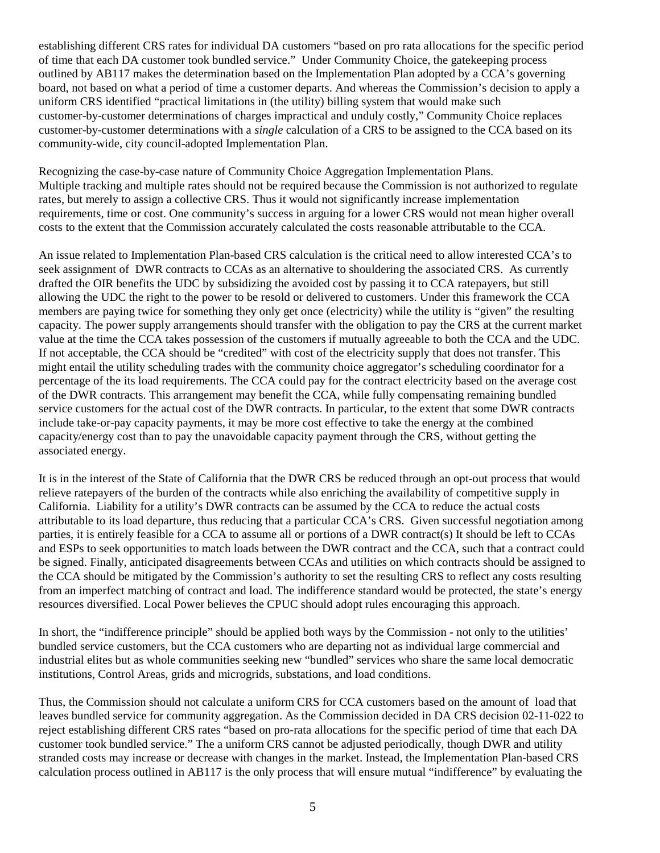establishing different CRS rates for individual DA customers "based on pro rata allocations for the specific period of time that each DA customer took bundled service." Under Community Choice, the gatekeeping process outlined by AB117 makes the determination based on the Implementation Plan adopted by a CCA's governing board, not based on what a period of time a customer departs. And whereas the Commission's decision to apply a uniform CRS identified "practical limitations in (the utility) billing system that would make such customer-by-customer determinations of charges impractical and unduly costly," Community Choice replaces customer-by-customer determinations with a *single* calculation of a CRS to be assigned to the CCA based on its community-wide, city council-adopted Implementation Plan.

Recognizing the case-by-case nature of Community Choice Aggregation Implementation Plans. Multiple tracking and multiple rates should not be required because the Commission is not authorized to regulate rates, but merely to assign a collective CRS. Thus it would not significantly increase implementation requirements, time or cost. One community's success in arguing for a lower CRS would not mean higher overall costs to the extent that the Commission accurately calculated the costs reasonable attributable to the CCA.

An issue related to Implementation Plan-based CRS calculation is the critical need to allow interested CCA's to seek assignment of DWR contracts to CCAs as an alternative to shouldering the associated CRS. As currently drafted the OIR benefits the UDC by subsidizing the avoided cost by passing it to CCA ratepayers, but still allowing the UDC the right to the power to be resold or delivered to customers. Under this framework the CCA members are paying twice for something they only get once (electricity) while the utility is "given" the resulting capacity. The power supply arrangements should transfer with the obligation to pay the CRS at the current market value at the time the CCA takes possession of the customers if mutually agreeable to both the CCA and the UDC. If not acceptable, the CCA should be "credited" with cost of the electricity supply that does not transfer. This might entail the utility scheduling trades with the community choice aggregator's scheduling coordinator for a percentage of the its load requirements. The CCA could pay for the contract electricity based on the average cost of the DWR contracts. This arrangement may benefit the CCA, while fully compensating remaining bundled service customers for the actual cost of the DWR contracts. In particular, to the extent that some DWR contracts include take-or-pay capacity payments, it may be more cost effective to take the energy at the combined capacity/energy cost than to pay the unavoidable capacity payment through the CRS, without getting the associated energy.

It is in the interest of the State of California that the DWR CRS be reduced through an opt-out process that would relieve ratepayers of the burden of the contracts while also enriching the availability of competitive supply in California. Liability for a utility's DWR contracts can be assumed by the CCA to reduce the actual costs attributable to its load departure, thus reducing that a particular CCA's CRS. Given successful negotiation among parties, it is entirely feasible for a CCA to assume all or portions of a DWR contract(s) It should be left to CCAs and ESPs to seek opportunities to match loads between the DWR contract and the CCA, such that a contract could be signed. Finally, anticipated disagreements between CCAs and utilities on which contracts should be assigned to the CCA should be mitigated by the Commission's authority to set the resulting CRS to reflect any costs resulting from an imperfect matching of contract and load. The indifference standard would be protected, the state's energy resources diversified. Local Power believes the CPUC should adopt rules encouraging this approach.

In short, the "indifference principle" should be applied both ways by the Commission - not only to the utilities' bundled service customers, but the CCA customers who are departing not as individual large commercial and industrial elites but as whole communities seeking new "bundled" services who share the same local democratic institutions, Control Areas, grids and microgrids, substations, and load conditions.

Thus, the Commission should not calculate a uniform CRS for CCA customers based on the amount of load that leaves bundled service for community aggregation. As the Commission decided in DA CRS decision 02-11-022 to reject establishing different CRS rates "based on pro-rata allocations for the specific period of time that each DA customer took bundled service." The a uniform CRS cannot be adjusted periodically, though DWR and utility stranded costs may increase or decrease with changes in the market. Instead, the Implementation Plan-based CRS calculation process outlined in AB117 is the only process that will ensure mutual "indifference" by evaluating the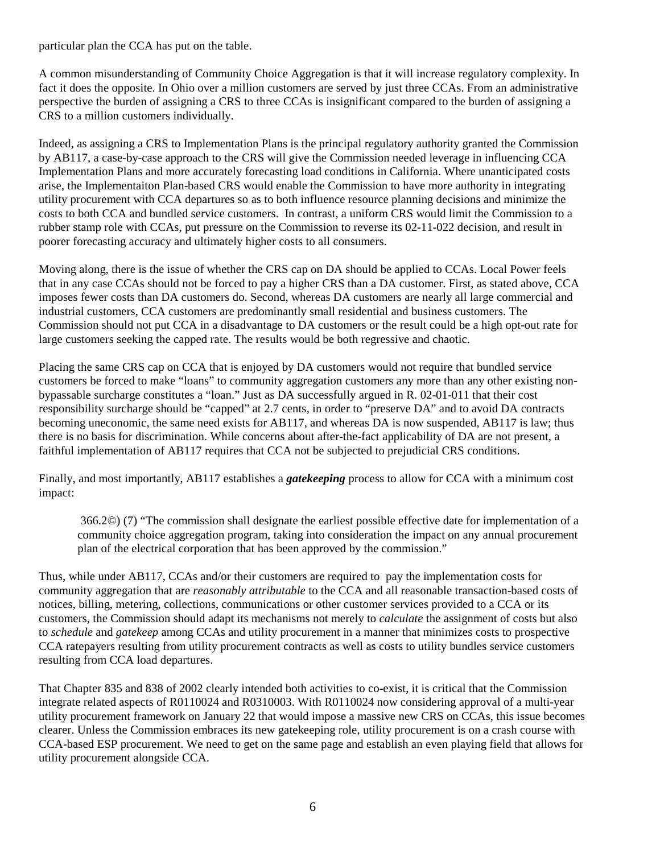particular plan the CCA has put on the table.

A common misunderstanding of Community Choice Aggregation is that it will increase regulatory complexity. In fact it does the opposite. In Ohio over a million customers are served by just three CCAs. From an administrative perspective the burden of assigning a CRS to three CCAs is insignificant compared to the burden of assigning a CRS to a million customers individually.

Indeed, as assigning a CRS to Implementation Plans is the principal regulatory authority granted the Commission by AB117, a case-by-case approach to the CRS will give the Commission needed leverage in influencing CCA Implementation Plans and more accurately forecasting load conditions in California. Where unanticipated costs arise, the Implementaiton Plan-based CRS would enable the Commission to have more authority in integrating utility procurement with CCA departures so as to both influence resource planning decisions and minimize the costs to both CCA and bundled service customers. In contrast, a uniform CRS would limit the Commission to a rubber stamp role with CCAs, put pressure on the Commission to reverse its 02-11-022 decision, and result in poorer forecasting accuracy and ultimately higher costs to all consumers.

Moving along, there is the issue of whether the CRS cap on DA should be applied to CCAs. Local Power feels that in any case CCAs should not be forced to pay a higher CRS than a DA customer. First, as stated above, CCA imposes fewer costs than DA customers do. Second, whereas DA customers are nearly all large commercial and industrial customers, CCA customers are predominantly small residential and business customers. The Commission should not put CCA in a disadvantage to DA customers or the result could be a high opt-out rate for large customers seeking the capped rate. The results would be both regressive and chaotic.

Placing the same CRS cap on CCA that is enjoyed by DA customers would not require that bundled service customers be forced to make "loans" to community aggregation customers any more than any other existing nonbypassable surcharge constitutes a "loan." Just as DA successfully argued in R. 02-01-011 that their cost responsibility surcharge should be "capped" at 2.7 cents, in order to "preserve DA" and to avoid DA contracts becoming uneconomic, the same need exists for AB117, and whereas DA is now suspended, AB117 is law; thus there is no basis for discrimination. While concerns about after-the-fact applicability of DA are not present, a faithful implementation of AB117 requires that CCA not be subjected to prejudicial CRS conditions.

Finally, and most importantly, AB117 establishes a *gatekeeping* process to allow for CCA with a minimum cost impact:

 366.2©) (7) "The commission shall designate the earliest possible effective date for implementation of a community choice aggregation program, taking into consideration the impact on any annual procurement plan of the electrical corporation that has been approved by the commission."

Thus, while under AB117, CCAs and/or their customers are required to pay the implementation costs for community aggregation that are *reasonably attributable* to the CCA and all reasonable transaction-based costs of notices, billing, metering, collections, communications or other customer services provided to a CCA or its customers, the Commission should adapt its mechanisms not merely to *calculate* the assignment of costs but also to *schedule* and *gatekeep* among CCAs and utility procurement in a manner that minimizes costs to prospective CCA ratepayers resulting from utility procurement contracts as well as costs to utility bundles service customers resulting from CCA load departures.

That Chapter 835 and 838 of 2002 clearly intended both activities to co-exist, it is critical that the Commission integrate related aspects of R0110024 and R0310003. With R0110024 now considering approval of a multi-year utility procurement framework on January 22 that would impose a massive new CRS on CCAs, this issue becomes clearer. Unless the Commission embraces its new gatekeeping role, utility procurement is on a crash course with CCA-based ESP procurement. We need to get on the same page and establish an even playing field that allows for utility procurement alongside CCA.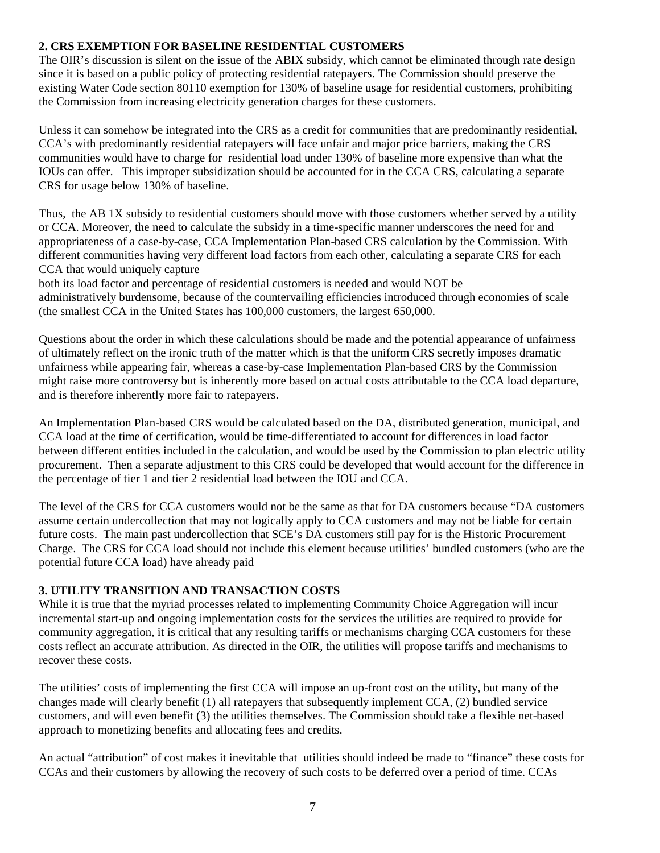#### **2. CRS EXEMPTION FOR BASELINE RESIDENTIAL CUSTOMERS**

The OIR's discussion is silent on the issue of the ABIX subsidy, which cannot be eliminated through rate design since it is based on a public policy of protecting residential ratepayers. The Commission should preserve the existing Water Code section 80110 exemption for 130% of baseline usage for residential customers, prohibiting the Commission from increasing electricity generation charges for these customers.

Unless it can somehow be integrated into the CRS as a credit for communities that are predominantly residential, CCA's with predominantly residential ratepayers will face unfair and major price barriers, making the CRS communities would have to charge for residential load under 130% of baseline more expensive than what the IOUs can offer. This improper subsidization should be accounted for in the CCA CRS, calculating a separate CRS for usage below 130% of baseline.

Thus, the AB 1X subsidy to residential customers should move with those customers whether served by a utility or CCA. Moreover, the need to calculate the subsidy in a time-specific manner underscores the need for and appropriateness of a case-by-case, CCA Implementation Plan-based CRS calculation by the Commission. With different communities having very different load factors from each other, calculating a separate CRS for each CCA that would uniquely capture

both its load factor and percentage of residential customers is needed and would NOT be administratively burdensome, because of the countervailing efficiencies introduced through economies of scale (the smallest CCA in the United States has 100,000 customers, the largest 650,000.

Questions about the order in which these calculations should be made and the potential appearance of unfairness of ultimately reflect on the ironic truth of the matter which is that the uniform CRS secretly imposes dramatic unfairness while appearing fair, whereas a case-by-case Implementation Plan-based CRS by the Commission might raise more controversy but is inherently more based on actual costs attributable to the CCA load departure, and is therefore inherently more fair to ratepayers.

An Implementation Plan-based CRS would be calculated based on the DA, distributed generation, municipal, and CCA load at the time of certification, would be time-differentiated to account for differences in load factor between different entities included in the calculation, and would be used by the Commission to plan electric utility procurement. Then a separate adjustment to this CRS could be developed that would account for the difference in the percentage of tier 1 and tier 2 residential load between the IOU and CCA.

The level of the CRS for CCA customers would not be the same as that for DA customers because "DA customers assume certain undercollection that may not logically apply to CCA customers and may not be liable for certain future costs. The main past undercollection that SCE's DA customers still pay for is the Historic Procurement Charge. The CRS for CCA load should not include this element because utilities' bundled customers (who are the potential future CCA load) have already paid

### **3. UTILITY TRANSITION AND TRANSACTION COSTS**

While it is true that the myriad processes related to implementing Community Choice Aggregation will incur incremental start-up and ongoing implementation costs for the services the utilities are required to provide for community aggregation, it is critical that any resulting tariffs or mechanisms charging CCA customers for these costs reflect an accurate attribution. As directed in the OIR, the utilities will propose tariffs and mechanisms to recover these costs.

The utilities' costs of implementing the first CCA will impose an up-front cost on the utility, but many of the changes made will clearly benefit (1) all ratepayers that subsequently implement CCA, (2) bundled service customers, and will even benefit (3) the utilities themselves. The Commission should take a flexible net-based approach to monetizing benefits and allocating fees and credits.

An actual "attribution" of cost makes it inevitable that utilities should indeed be made to "finance" these costs for CCAs and their customers by allowing the recovery of such costs to be deferred over a period of time. CCAs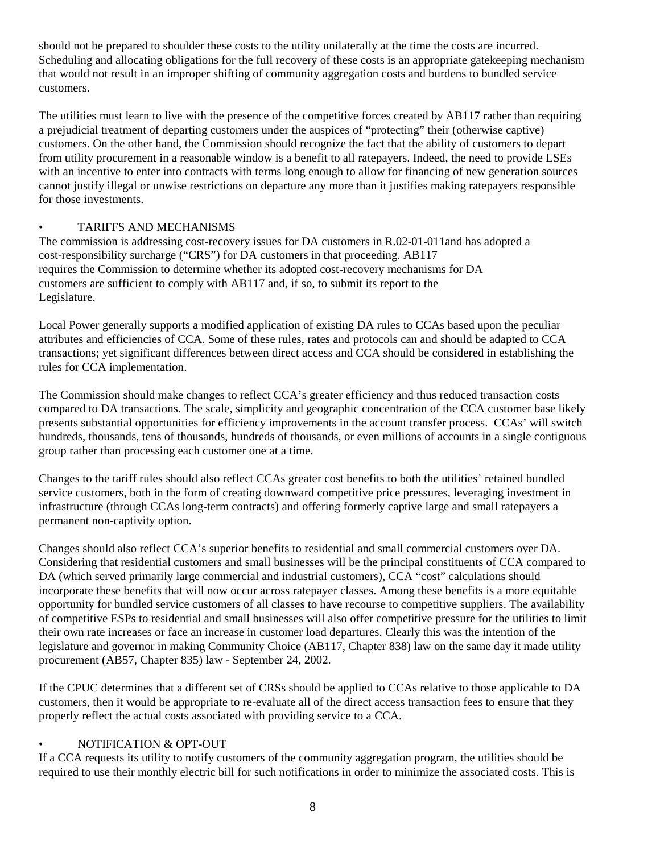should not be prepared to shoulder these costs to the utility unilaterally at the time the costs are incurred. Scheduling and allocating obligations for the full recovery of these costs is an appropriate gatekeeping mechanism that would not result in an improper shifting of community aggregation costs and burdens to bundled service customers.

The utilities must learn to live with the presence of the competitive forces created by AB117 rather than requiring a prejudicial treatment of departing customers under the auspices of "protecting" their (otherwise captive) customers. On the other hand, the Commission should recognize the fact that the ability of customers to depart from utility procurement in a reasonable window is a benefit to all ratepayers. Indeed, the need to provide LSEs with an incentive to enter into contracts with terms long enough to allow for financing of new generation sources cannot justify illegal or unwise restrictions on departure any more than it justifies making ratepayers responsible for those investments.

### • TARIFFS AND MECHANISMS

The commission is addressing cost-recovery issues for DA customers in R.02-01-011and has adopted a cost-responsibility surcharge ("CRS") for DA customers in that proceeding. AB117 requires the Commission to determine whether its adopted cost-recovery mechanisms for DA customers are sufficient to comply with AB117 and, if so, to submit its report to the Legislature.

Local Power generally supports a modified application of existing DA rules to CCAs based upon the peculiar attributes and efficiencies of CCA. Some of these rules, rates and protocols can and should be adapted to CCA transactions; yet significant differences between direct access and CCA should be considered in establishing the rules for CCA implementation.

The Commission should make changes to reflect CCA's greater efficiency and thus reduced transaction costs compared to DA transactions. The scale, simplicity and geographic concentration of the CCA customer base likely presents substantial opportunities for efficiency improvements in the account transfer process. CCAs' will switch hundreds, thousands, tens of thousands, hundreds of thousands, or even millions of accounts in a single contiguous group rather than processing each customer one at a time.

Changes to the tariff rules should also reflect CCAs greater cost benefits to both the utilities' retained bundled service customers, both in the form of creating downward competitive price pressures, leveraging investment in infrastructure (through CCAs long-term contracts) and offering formerly captive large and small ratepayers a permanent non-captivity option.

Changes should also reflect CCA's superior benefits to residential and small commercial customers over DA. Considering that residential customers and small businesses will be the principal constituents of CCA compared to DA (which served primarily large commercial and industrial customers), CCA "cost" calculations should incorporate these benefits that will now occur across ratepayer classes. Among these benefits is a more equitable opportunity for bundled service customers of all classes to have recourse to competitive suppliers. The availability of competitive ESPs to residential and small businesses will also offer competitive pressure for the utilities to limit their own rate increases or face an increase in customer load departures. Clearly this was the intention of the legislature and governor in making Community Choice (AB117, Chapter 838) law on the same day it made utility procurement (AB57, Chapter 835) law - September 24, 2002.

If the CPUC determines that a different set of CRSs should be applied to CCAs relative to those applicable to DA customers, then it would be appropriate to re-evaluate all of the direct access transaction fees to ensure that they properly reflect the actual costs associated with providing service to a CCA.

## • NOTIFICATION & OPT-OUT

If a CCA requests its utility to notify customers of the community aggregation program, the utilities should be required to use their monthly electric bill for such notifications in order to minimize the associated costs. This is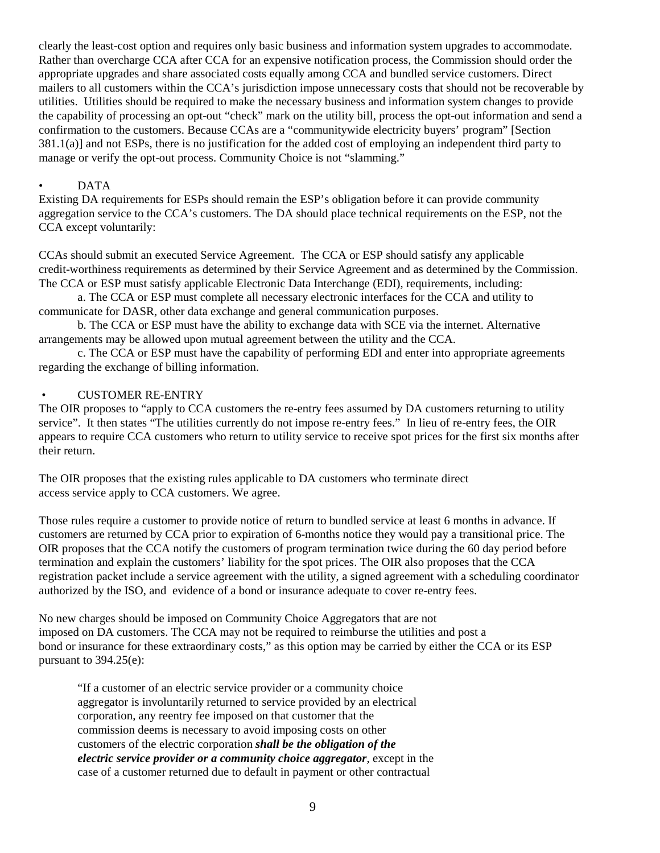clearly the least-cost option and requires only basic business and information system upgrades to accommodate. Rather than overcharge CCA after CCA for an expensive notification process, the Commission should order the appropriate upgrades and share associated costs equally among CCA and bundled service customers. Direct mailers to all customers within the CCA's jurisdiction impose unnecessary costs that should not be recoverable by utilities. Utilities should be required to make the necessary business and information system changes to provide the capability of processing an opt-out "check" mark on the utility bill, process the opt-out information and send a confirmation to the customers. Because CCAs are a "communitywide electricity buyers' program" [Section 381.1(a)] and not ESPs, there is no justification for the added cost of employing an independent third party to manage or verify the opt-out process. Community Choice is not "slamming."

#### • DATA

Existing DA requirements for ESPs should remain the ESP's obligation before it can provide community aggregation service to the CCA's customers. The DA should place technical requirements on the ESP, not the CCA except voluntarily:

CCAs should submit an executed Service Agreement. The CCA or ESP should satisfy any applicable credit-worthiness requirements as determined by their Service Agreement and as determined by the Commission. The CCA or ESP must satisfy applicable Electronic Data Interchange (EDI), requirements, including:

a. The CCA or ESP must complete all necessary electronic interfaces for the CCA and utility to communicate for DASR, other data exchange and general communication purposes.

b. The CCA or ESP must have the ability to exchange data with SCE via the internet. Alternative arrangements may be allowed upon mutual agreement between the utility and the CCA.

c. The CCA or ESP must have the capability of performing EDI and enter into appropriate agreements regarding the exchange of billing information.

#### • CUSTOMER RE-ENTRY

The OIR proposes to "apply to CCA customers the re-entry fees assumed by DA customers returning to utility service". It then states "The utilities currently do not impose re-entry fees." In lieu of re-entry fees, the OIR appears to require CCA customers who return to utility service to receive spot prices for the first six months after their return.

The OIR proposes that the existing rules applicable to DA customers who terminate direct access service apply to CCA customers. We agree.

Those rules require a customer to provide notice of return to bundled service at least 6 months in advance. If customers are returned by CCA prior to expiration of 6-months notice they would pay a transitional price. The OIR proposes that the CCA notify the customers of program termination twice during the 60 day period before termination and explain the customers' liability for the spot prices. The OIR also proposes that the CCA registration packet include a service agreement with the utility, a signed agreement with a scheduling coordinator authorized by the ISO, and evidence of a bond or insurance adequate to cover re-entry fees.

No new charges should be imposed on Community Choice Aggregators that are not imposed on DA customers. The CCA may not be required to reimburse the utilities and post a bond or insurance for these extraordinary costs," as this option may be carried by either the CCA or its ESP pursuant to  $394.25(e)$ :

"If a customer of an electric service provider or a community choice aggregator is involuntarily returned to service provided by an electrical corporation, any reentry fee imposed on that customer that the commission deems is necessary to avoid imposing costs on other customers of the electric corporation *shall be the obligation of the electric service provider or a community choice aggregator*, except in the case of a customer returned due to default in payment or other contractual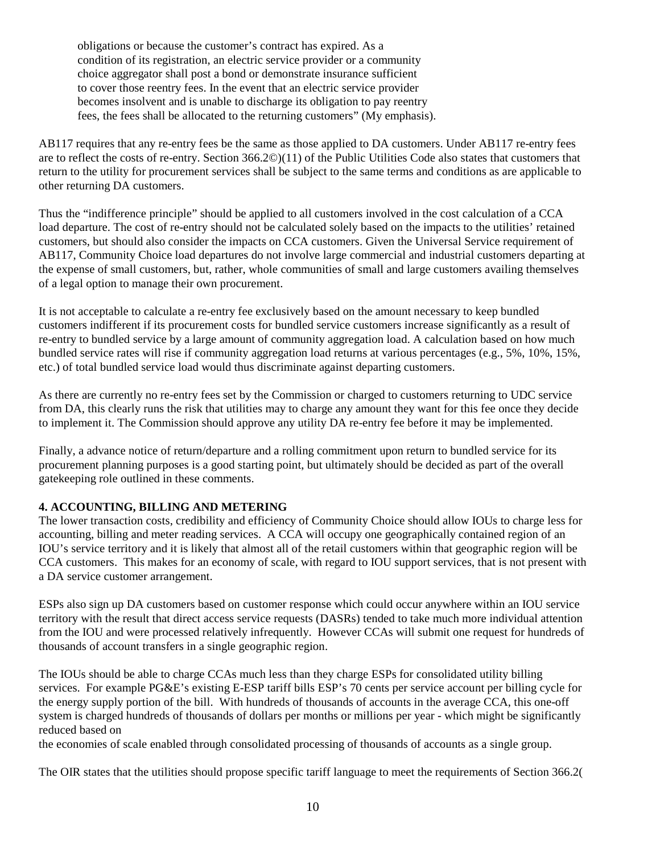obligations or because the customer's contract has expired. As a condition of its registration, an electric service provider or a community choice aggregator shall post a bond or demonstrate insurance sufficient to cover those reentry fees. In the event that an electric service provider becomes insolvent and is unable to discharge its obligation to pay reentry fees, the fees shall be allocated to the returning customers" (My emphasis).

AB117 requires that any re-entry fees be the same as those applied to DA customers. Under AB117 re-entry fees are to reflect the costs of re-entry. Section 366.2©)(11) of the Public Utilities Code also states that customers that return to the utility for procurement services shall be subject to the same terms and conditions as are applicable to other returning DA customers.

Thus the "indifference principle" should be applied to all customers involved in the cost calculation of a CCA load departure. The cost of re-entry should not be calculated solely based on the impacts to the utilities' retained customers, but should also consider the impacts on CCA customers. Given the Universal Service requirement of AB117, Community Choice load departures do not involve large commercial and industrial customers departing at the expense of small customers, but, rather, whole communities of small and large customers availing themselves of a legal option to manage their own procurement.

It is not acceptable to calculate a re-entry fee exclusively based on the amount necessary to keep bundled customers indifferent if its procurement costs for bundled service customers increase significantly as a result of re-entry to bundled service by a large amount of community aggregation load. A calculation based on how much bundled service rates will rise if community aggregation load returns at various percentages (e.g., 5%, 10%, 15%, etc.) of total bundled service load would thus discriminate against departing customers.

As there are currently no re-entry fees set by the Commission or charged to customers returning to UDC service from DA, this clearly runs the risk that utilities may to charge any amount they want for this fee once they decide to implement it. The Commission should approve any utility DA re-entry fee before it may be implemented.

Finally, a advance notice of return/departure and a rolling commitment upon return to bundled service for its procurement planning purposes is a good starting point, but ultimately should be decided as part of the overall gatekeeping role outlined in these comments.

## **4. ACCOUNTING, BILLING AND METERING**

The lower transaction costs, credibility and efficiency of Community Choice should allow IOUs to charge less for accounting, billing and meter reading services. A CCA will occupy one geographically contained region of an IOU's service territory and it is likely that almost all of the retail customers within that geographic region will be CCA customers. This makes for an economy of scale, with regard to IOU support services, that is not present with a DA service customer arrangement.

ESPs also sign up DA customers based on customer response which could occur anywhere within an IOU service territory with the result that direct access service requests (DASRs) tended to take much more individual attention from the IOU and were processed relatively infrequently. However CCAs will submit one request for hundreds of thousands of account transfers in a single geographic region.

The IOUs should be able to charge CCAs much less than they charge ESPs for consolidated utility billing services. For example PG&E's existing E-ESP tariff bills ESP's 70 cents per service account per billing cycle for the energy supply portion of the bill. With hundreds of thousands of accounts in the average CCA, this one-off system is charged hundreds of thousands of dollars per months or millions per year - which might be significantly reduced based on

the economies of scale enabled through consolidated processing of thousands of accounts as a single group.

The OIR states that the utilities should propose specific tariff language to meet the requirements of Section 366.2(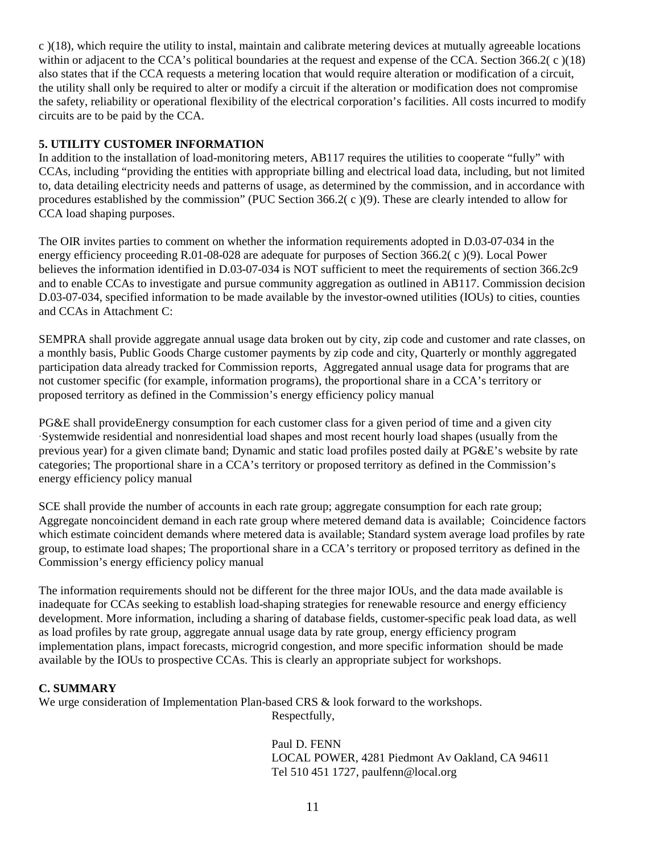c )(18), which require the utility to instal, maintain and calibrate metering devices at mutually agreeable locations within or adjacent to the CCA's political boundaries at the request and expense of the CCA. Section  $366.2(c)(18)$ also states that if the CCA requests a metering location that would require alteration or modification of a circuit, the utility shall only be required to alter or modify a circuit if the alteration or modification does not compromise the safety, reliability or operational flexibility of the electrical corporation's facilities. All costs incurred to modify circuits are to be paid by the CCA.

### **5. UTILITY CUSTOMER INFORMATION**

In addition to the installation of load-monitoring meters, AB117 requires the utilities to cooperate "fully" with CCAs, including "providing the entities with appropriate billing and electrical load data, including, but not limited to, data detailing electricity needs and patterns of usage, as determined by the commission, and in accordance with procedures established by the commission" (PUC Section 366.2( c )(9). These are clearly intended to allow for CCA load shaping purposes.

The OIR invites parties to comment on whether the information requirements adopted in D.03-07-034 in the energy efficiency proceeding R.01-08-028 are adequate for purposes of Section 366.2( c )(9). Local Power believes the information identified in D.03-07-034 is NOT sufficient to meet the requirements of section 366.2c9 and to enable CCAs to investigate and pursue community aggregation as outlined in AB117. Commission decision D.03-07-034, specified information to be made available by the investor-owned utilities (IOUs) to cities, counties and CCAs in Attachment C:

SEMPRA shall provide aggregate annual usage data broken out by city, zip code and customer and rate classes, on a monthly basis, Public Goods Charge customer payments by zip code and city, Quarterly or monthly aggregated participation data already tracked for Commission reports, Aggregated annual usage data for programs that are not customer specific (for example, information programs), the proportional share in a CCA's territory or proposed territory as defined in the Commission's energy efficiency policy manual

PG&E shall provideEnergy consumption for each customer class for a given period of time and a given city ASystemwide residential and nonresidential load shapes and most recent hourly load shapes (usually from the previous year) for a given climate band; Dynamic and static load profiles posted daily at PG&E's website by rate categories; The proportional share in a CCA's territory or proposed territory as defined in the Commission's energy efficiency policy manual

SCE shall provide the number of accounts in each rate group; aggregate consumption for each rate group; Aggregate noncoincident demand in each rate group where metered demand data is available; Coincidence factors which estimate coincident demands where metered data is available; Standard system average load profiles by rate group, to estimate load shapes; The proportional share in a CCA's territory or proposed territory as defined in the Commission's energy efficiency policy manual

The information requirements should not be different for the three major IOUs, and the data made available is inadequate for CCAs seeking to establish load-shaping strategies for renewable resource and energy efficiency development. More information, including a sharing of database fields, customer-specific peak load data, as well as load profiles by rate group, aggregate annual usage data by rate group, energy efficiency program implementation plans, impact forecasts, microgrid congestion, and more specific information should be made available by the IOUs to prospective CCAs. This is clearly an appropriate subject for workshops.

#### **C. SUMMARY**

We urge consideration of Implementation Plan-based CRS & look forward to the workshops. Respectfully,

> Paul D. FENN LOCAL POWER, 4281 Piedmont Av Oakland, CA 94611 Tel 510 451 1727, paulfenn@local.org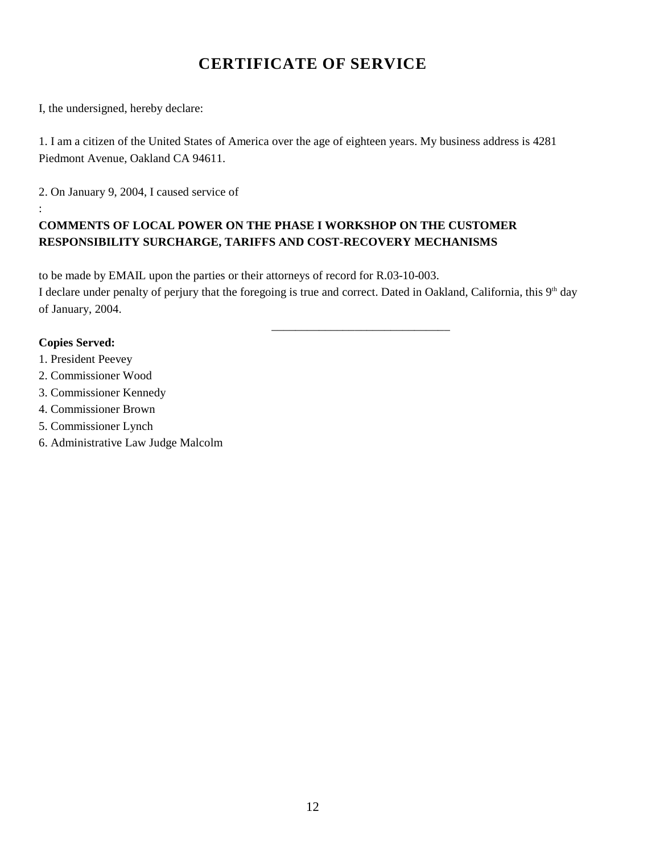# **CERTIFICATE OF SERVICE**

I, the undersigned, hereby declare:

1. I am a citizen of the United States of America over the age of eighteen years. My business address is 4281 Piedmont Avenue, Oakland CA 94611.

2. On January 9, 2004, I caused service of

## **COMMENTS OF LOCAL POWER ON THE PHASE I WORKSHOP ON THE CUSTOMER RESPONSIBILITY SURCHARGE, TARIFFS AND COST-RECOVERY MECHANISMS**

to be made by EMAIL upon the parties or their attorneys of record for R.03-10-003. I declare under penalty of perjury that the foregoing is true and correct. Dated in Oakland, California, this 9<sup>th</sup> day of January, 2004.

\_\_\_\_\_\_\_\_\_\_\_\_\_\_\_\_\_\_\_\_\_\_\_\_\_\_\_\_\_\_

#### **Copies Served:**

:

- 1. President Peevey
- 2. Commissioner Wood
- 3. Commissioner Kennedy
- 4. Commissioner Brown
- 5. Commissioner Lynch
- 6. Administrative Law Judge Malcolm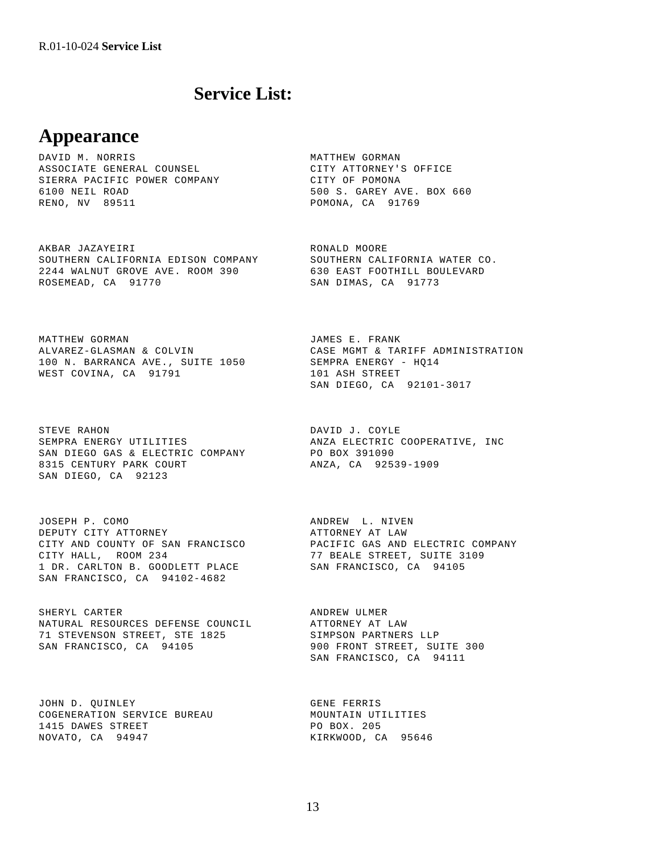# **Service List:**

## **Appearance**

DAVID M. NORRIS MATTHEW GORMAN ASSOCIATE GENERAL COUNSEL CITY ATTORNEY'S OFFICE SIERRA PACIFIC POWER COMPANY CITY OF POMONA 6100 NEIL ROAD 500 S. GAREY AVE. BOX 660 RENO, NV 89511 **POMONA, CA 91769** 

AKBAR JAZAYEIRI RONALD MOORE SOUTHERN CALIFORNIA EDISON COMPANY SOUTHERN CALIFORNIA WATER CO. 2244 WALNUT GROVE AVE. ROOM 390 630 EAST FOOTHILL BOULEVARD ROSEMEAD, CA 91770 SAN DIMAS, CA 91773

MATTHEW GORMAN JAMES E. FRANK 100 N. BARRANCA AVE., SUITE 1050 SEMPRA ENERGY - HQ14 WEST COVINA, CA 91791 101 ASH STREET

STEVE RAHON DAVID J. COYLE SEMPRA ENERGY UTILITIES **ANZA ELECTRIC COOPERATIVE, INC** SAN DIEGO GAS & ELECTRIC COMPANY PO BOX 391090 8315 CENTURY PARK COURT ANZA, CA 92539-1909 SAN DIEGO, CA 92123

JOSEPH P. COMO ANDREW L. NIVEN DEPUTY CITY ATTORNEY ATTORNEY AT LAW CITY AND COUNTY OF SAN FRANCISCO PACIFIC GAS AND ELECTRIC COMPANY CITY HALL, ROOM 234 77 BEALE STREET, SUITE 3109 1 DR. CARLTON B. GOODLETT PLACE SAN FRANCISCO, CA 94105 SAN FRANCISCO, CA 94102-4682

SHERYL CARTER **ANDREW ULMER** NATURAL RESOURCES DEFENSE COUNCIL ATTORNEY AT LAW 71 STEVENSON STREET, STE 1825 SIMPSON PARTNERS LLP SAN FRANCISCO, CA 94105 900 FRONT STREET, SUITE 300

JOHN D. QUINLEY GENE FERRIS COGENERATION SERVICE BUREAU MOUNTAIN UTILITIES 1415 DAWES STREET **PO BOX. 205** NOVATO, CA 94947 KIRKWOOD, CA 95646

ALVAREZ-GLASMAN & COLVIN CASE MGMT & TARIFF ADMINISTRATION SAN DIEGO, CA 92101-3017

SAN FRANCISCO, CA 94111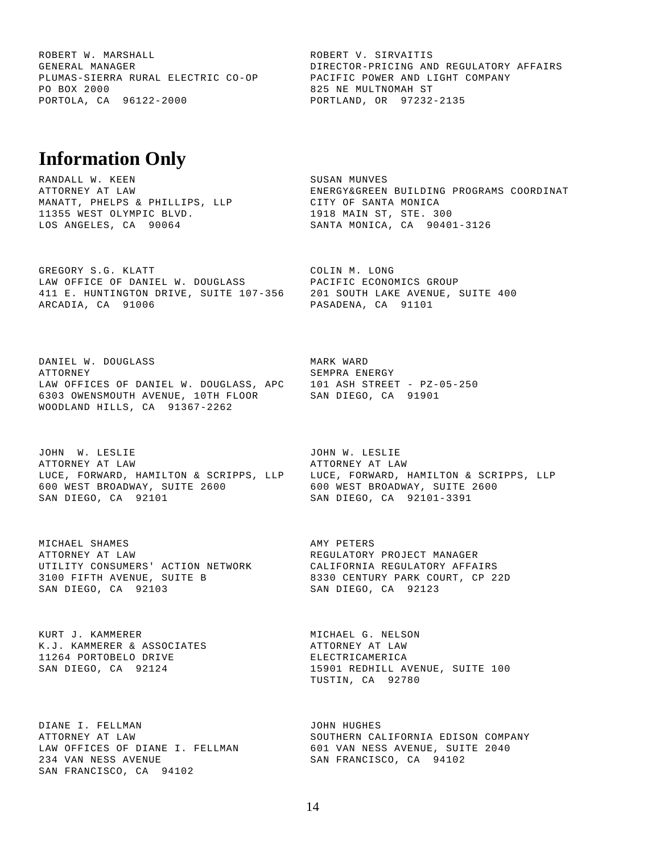ROBERT W. MARSHALL PLUMAS-SIERRA RURAL ELECTRIC CO-OP PACIFIC POWER AND LIGHT COMPANY PO BOX 2000 825 NE MULTNOMAH ST PORTOLA, CA 96122-2000 PORTLAND, OR 97232-2135

ROBERT V. SIRVAITIS GENERAL MANAGER DIRECTOR-PRICING AND REGULATORY AFFAIRS

# **Information Only**

RANDALL W. KEEN SUSAN MUNVES MANATT, PHELPS & PHILLIPS, LLP CITY OF SANTA MONICA 11355 WEST OLYMPIC BLVD. 1918 MAIN ST, STE. 300

GREGORY S.G. KLATT COLIN M. LONG LAW OFFICE OF DANIEL W. DOUGLASS PACIFIC ECONOMICS GROUP 411 E. HUNTINGTON DRIVE, SUITE 107-356 201 SOUTH LAKE AVENUE, SUITE 400 ARCADIA, CA 91006 PASADENA, CA 91101

DANIEL W. DOUGLASS MARK WARD ATTORNEY SEMPRA ENERGY LAW OFFICES OF DANIEL W. DOUGLASS, APC 101 ASH STREET - PZ-05-250 6303 OWENSMOUTH AVENUE, 10TH FLOOR SAN DIEGO, CA 91901 WOODLAND HILLS, CA 91367-2262

JOHN W. LESLIE JOHN W. LESLIE ATTORNEY AT LAW ATTORNEY AT LAW LUCE, FORWARD, HAMILTON & SCRIPPS, LLP LUCE, FORWARD, HAMILTON & SCRIPPS, LLP 600 WEST BROADWAY, SUITE 2600 600 WEST BROADWAY, SUITE 2600 SAN DIEGO, CA 92101 SAN DIEGO, CA 92101-3391

MICHAEL SHAMES **AMY PETERS** ATTORNEY AT LAW REGULATORY PROJECT MANAGER UTILITY CONSUMERS' ACTION NETWORK CALIFORNIA REGULATORY AFFAIRS 3100 FIFTH AVENUE, SUITE B 8330 CENTURY PARK COURT, CP 22D SAN DIEGO, CA 92103 SAN DIEGO, CA 92123

KURT J. KAMMERER MICHAEL G. NELSON K.J. KAMMERER & ASSOCIATES ATTORNEY AT LAW 11264 PORTOBELO DRIVE **ELECTRICAMERICA** 

DIANE I. FELLMAN **JOHN HUGHES** 234 VAN NESS AVENUE SAN FRANCISCO, CA 94102 SAN FRANCISCO, CA 94102

ATTORNEY AT LAW ENERGY&GREEN BUILDING PROGRAMS COORDINAT LOS ANGELES, CA 90064 SANTA MONICA, CA 90401-3126

SAN DIEGO, CA 92124 15901 REDHILL AVENUE, SUITE 100 TUSTIN, CA 92780

ATTORNEY AT LAW SOUTHERN CALIFORNIA EDISON COMPANY LAW OFFICES OF DIANE I. FELLMAN 601 VAN NESS AVENUE, SUITE 2040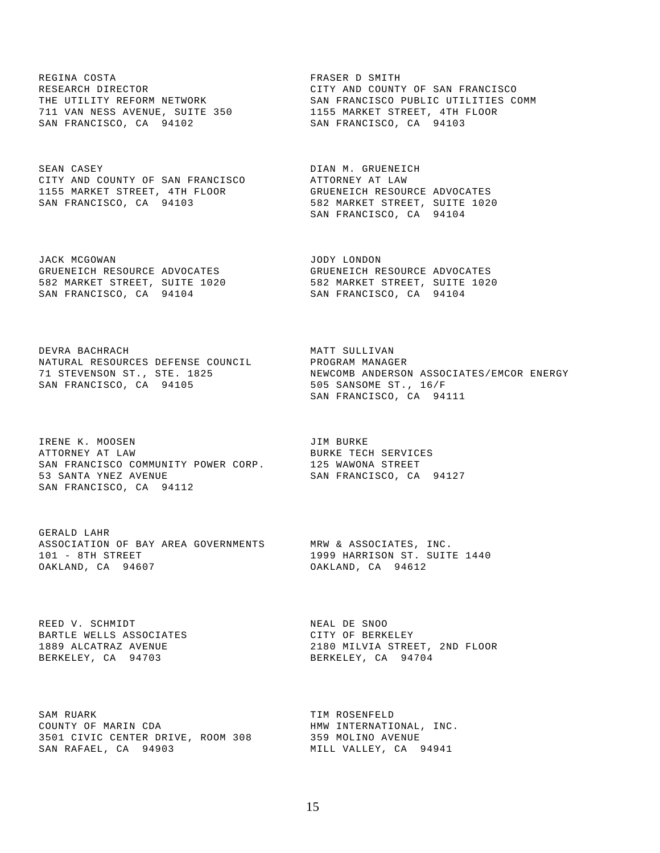REGINA COSTA **FRASER D** SMITH 711 VAN NESS AVENUE, SUITE 350 1155 MARKET STREET, 4TH FLOOR SAN FRANCISCO, CA 94102 SAN FRANCISCO, CA 94103

SEAN CASEY<br>
CITY AND COUNTY OF SAN FRANCISCO<br>
ATTORNEY AT LAW CITY AND COUNTY OF SAN FRANCISCO ATTORNEY AT LAW 1155 MARKET STREET, 4TH FLOOR GRUENEICH RESOURCE ADVOCATES SAN FRANCISCO, CA 94103 582 MARKET STREET, SUITE 1020

JACK MCGOWAN JODY LONDON SAN FRANCISCO, CA 94104 SAN FRANCISCO, CA 94104

DEVRA BACHRACH MATT SULLIVAN NATURAL RESOURCES DEFENSE COUNCIL PROGRAM MANAGER SAN FRANCISCO, CA 94105

IRENE K. MOOSEN JIM BURKE ATTORNEY AT LAW BURKE TECH SERVICES SAN FRANCISCO COMMUNITY POWER CORP. 125 WAWONA STREET 53 SANTA YNEZ AVENUE SAN FRANCISCO, CA 94127 SAN FRANCISCO, CA 94112

GERALD LAHR ASSOCIATION OF BAY AREA GOVERNMENTS MRW & ASSOCIATES, INC. 101 - 8TH STREET 1999 HARRISON ST. SUITE 1440 OAKLAND, CA 94607 OAKLAND, CA 94612

REED V. SCHMIDT NEAL DE SNOO BARTLE WELLS ASSOCIATES **EXECUTE CELLS ASSOCIATES** BERKELEY, CA 94703 BERKELEY, CA 94704

SAM RUARK TIM ROSENFELD COUNTY OF MARIN CDA **HET SEE ALL SEE ARE HADED** HMW INTERNATIONAL, INC. 3501 CIVIC CENTER DRIVE, ROOM 308 359 MOLINO AVENUE SAN RAFAEL, CA 94903 MILL VALLEY, CA 94941

RESEARCH DIRECTOR CITY AND COUNTY OF SAN FRANCISCO THE UTILITY REFORM NETWORK SAN FRANCISCO PUBLIC UTILITIES COMM

SAN FRANCISCO, CA 94104

GRUENEICH RESOURCE ADVOCATES GRUENEICH RESOURCE ADVOCATES 582 MARKET STREET, SUITE 1020 582 MARKET STREET, SUITE 1020

> NEWCOMB ANDERSON ASSOCIATES/EMCOR ENERGY<br>505 SANSOME ST., 16/F SAN FRANCISCO, CA 94111

1889 ALCATRAZ AVENUE 2180 MILVIA STREET, 2ND FLOOR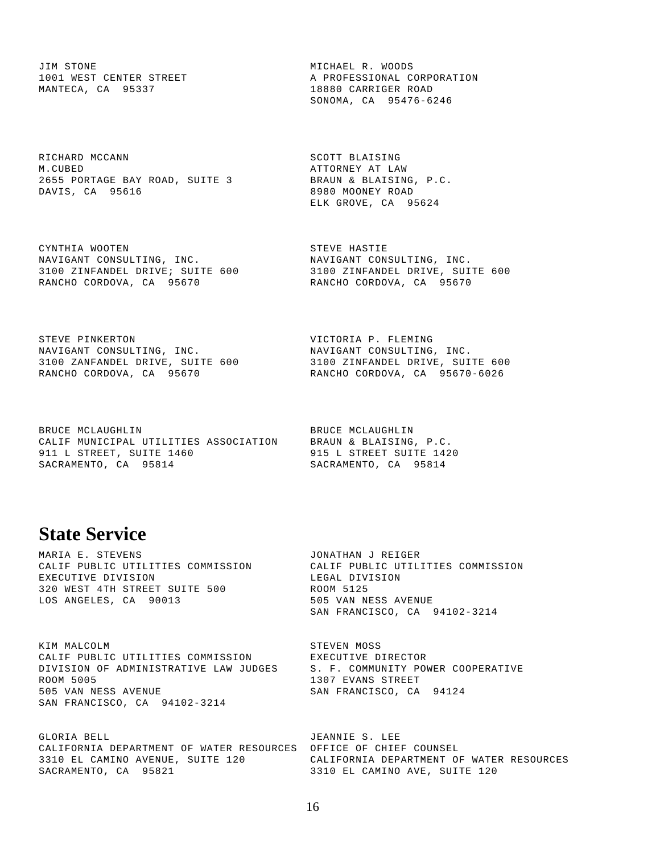JIM STONE **MICHAEL R. WOODS** MANTECA, CA 95337 18880 CARRIGER ROAD

RICHARD MCCANN SCOTT BLAISING M. CUBED ATTORNEY AT LAW 2655 PORTAGE BAY ROAD, SUITE 3 BRAUN & BLAISING, P.C. DAVIS, CA 95616 8980 MOONEY ROAD

CYNTHIA WOOTEN STEVE HASTIE NAVIGANT CONSULTING, INC. NAVIGANT CONSULTING, INC. RANCHO CORDOVA, CA 95670 RANCHO CORDOVA, CA 95670

STEVE PINKERTON VICTORIA P. FLEMING NAVIGANT CONSULTING, INC. NAVIGANT CONSULTING, INC.

BRUCE MCLAUGHLIN BRUCE MCLAUGHLIN CALIF MUNICIPAL UTILITIES ASSOCIATION BRAUN & BLAISING, P.C. 911 L STREET, SUITE 1460 915 L STREET SUITE 1420

1001 WEST CENTER STREET A PROFESSIONAL CORPORATION SONOMA, CA 95476-6246

ELK GROVE, CA 95624

3100 ZINFANDEL DRIVE; SUITE 600 3100 ZINFANDEL DRIVE, SUITE 600

3100 ZANFANDEL DRIVE, SUITE 600 3100 ZINFANDEL DRIVE, SUITE 600 RANCHO CORDOVA, CA 95670 RANCHO CORDOVA, CA 95670-6026

SACRAMENTO, CA 95814

# **State Service**

MARIA E. STEVENS JONATHAN J REIGER EXECUTIVE DIVISION LEGAL DIVISION 320 WEST 4TH STREET SUITE 500 ROOM 5125<br>
LOS ANGELES, CA 90013 505 VAN NESS AVENUE LOS ANGELES, CA 90013

CALIF PUBLIC UTILITIES COMMISSION CALIF PUBLIC UTILITIES COMMISSION SAN FRANCISCO, CA 94102-3214

KIM MALCOLM STEVEN MOSS CALIF PUBLIC UTILITIES COMMISSION EXECUTIVE DIRECTOR DIVISION OF ADMINISTRATIVE LAW JUDGES S. F. COMMUNITY POWER COOPERATIVE ROOM 5005 1307 EVANS STREET 505 VAN NESS AVENUE SAN FRANCISCO, CA 94124 SAN FRANCISCO, CA 94102-3214

GLORIA BELL JEANNIE S. LEE CALIFORNIA DEPARTMENT OF WATER RESOURCES OFFICE OF CHIEF COUNSEL 3310 EL CAMINO AVENUE, SUITE 120 CALIFORNIA DEPARTMENT OF WATER RESOURCES SACRAMENTO, CA 95821 3310 EL CAMINO AVE, SUITE 120